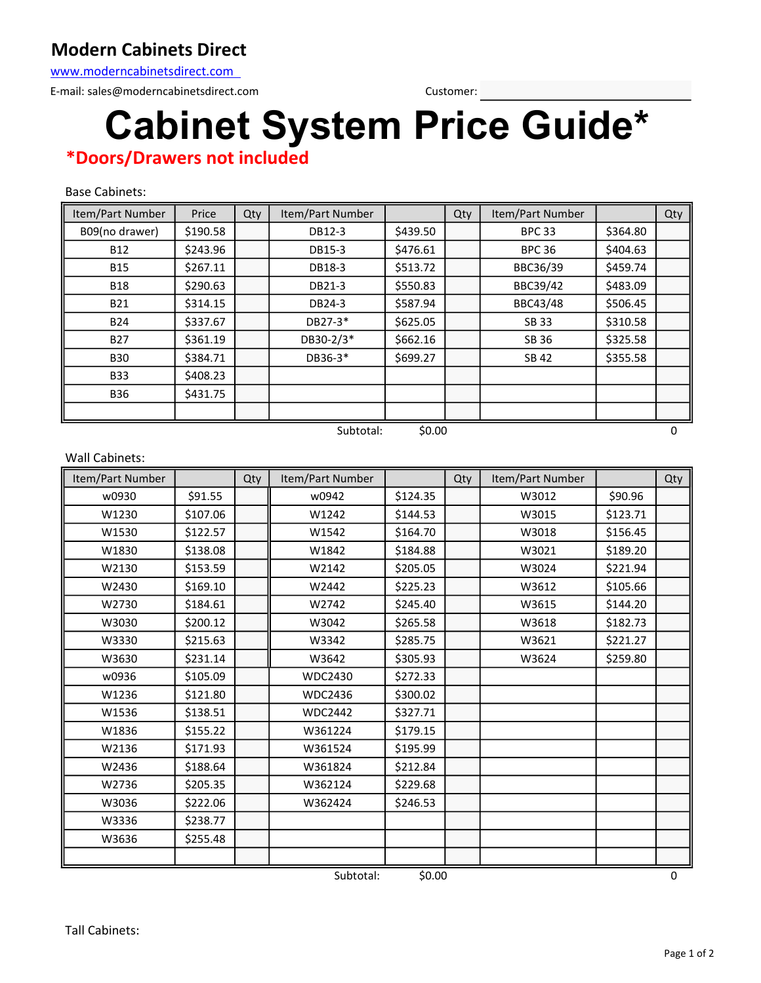## Modern Cabinets Direct

www.moderncabinetsdirect.com

E-mail: sales@moderncabinetsdirect.com Customer:

## Cabinet System Price Guide\*

## \*Doors/Drawers not included

Base Cabinets:

| Item/Part Number    | Price    | Qty | Item/Part Number |          | Qty | Item/Part Number |          | Qty |
|---------------------|----------|-----|------------------|----------|-----|------------------|----------|-----|
| B09(no drawer)      | \$190.58 |     | DB12-3           | \$439.50 |     | <b>BPC 33</b>    | \$364.80 |     |
| <b>B12</b>          | \$243.96 |     | DB15-3           | \$476.61 |     | <b>BPC 36</b>    | \$404.63 |     |
| <b>B15</b>          | \$267.11 |     | DB18-3           | \$513.72 |     | BBC36/39         | \$459.74 |     |
| <b>B18</b>          | \$290.63 |     | DB21-3           | \$550.83 |     | BBC39/42         | \$483.09 |     |
| <b>B21</b>          | \$314.15 |     | DB24-3           | \$587.94 |     | BBC43/48         | \$506.45 |     |
| <b>B24</b>          | \$337.67 |     | DB27-3*          | \$625.05 |     | <b>SB33</b>      | \$310.58 |     |
| <b>B27</b>          | \$361.19 |     | DB30-2/3*        | \$662.16 |     | SB 36            | \$325.58 |     |
| <b>B30</b>          | \$384.71 |     | DB36-3*          | \$699.27 |     | SB 42            | \$355.58 |     |
| <b>B33</b>          | \$408.23 |     |                  |          |     |                  |          |     |
| <b>B36</b>          | \$431.75 |     |                  |          |     |                  |          |     |
|                     |          |     |                  |          |     |                  |          |     |
| \$0.00<br>Subtotal: |          |     |                  |          |     |                  |          | 0   |

| <b>Wall Cabinets:</b> |          |     |                  |          |     |                  |          |     |
|-----------------------|----------|-----|------------------|----------|-----|------------------|----------|-----|
| Item/Part Number      |          | Qty | Item/Part Number |          | Qty | Item/Part Number |          | Qty |
| w0930                 | \$91.55  |     | w0942            | \$124.35 |     | W3012            | \$90.96  |     |
| W1230                 | \$107.06 |     | W1242            | \$144.53 |     | W3015            | \$123.71 |     |
| W1530                 | \$122.57 |     | W1542            | \$164.70 |     | W3018            | \$156.45 |     |
| W1830                 | \$138.08 |     | W1842            | \$184.88 |     | W3021            | \$189.20 |     |
| W2130                 | \$153.59 |     | W2142            | \$205.05 |     | W3024            | \$221.94 |     |
| W2430                 | \$169.10 |     | W2442            | \$225.23 |     | W3612            | \$105.66 |     |
| W2730                 | \$184.61 |     | W2742            | \$245.40 |     | W3615            | \$144.20 |     |
| W3030                 | \$200.12 |     | W3042            | \$265.58 |     | W3618            | \$182.73 |     |
| W3330                 | \$215.63 |     | W3342            | \$285.75 |     | W3621            | \$221.27 |     |
| W3630                 | \$231.14 |     | W3642            | \$305.93 |     | W3624            | \$259.80 |     |
| w0936                 | \$105.09 |     | <b>WDC2430</b>   | \$272.33 |     |                  |          |     |
| W1236                 | \$121.80 |     | <b>WDC2436</b>   | \$300.02 |     |                  |          |     |
| W1536                 | \$138.51 |     | <b>WDC2442</b>   | \$327.71 |     |                  |          |     |
| W1836                 | \$155.22 |     | W361224          | \$179.15 |     |                  |          |     |
| W2136                 | \$171.93 |     | W361524          | \$195.99 |     |                  |          |     |
| W2436                 | \$188.64 |     | W361824          | \$212.84 |     |                  |          |     |
| W2736                 | \$205.35 |     | W362124          | \$229.68 |     |                  |          |     |
| W3036                 | \$222.06 |     | W362424          | \$246.53 |     |                  |          |     |
| W3336                 | \$238.77 |     |                  |          |     |                  |          |     |
| W3636                 | \$255.48 |     |                  |          |     |                  |          |     |
|                       |          |     |                  |          |     |                  |          |     |
| \$0.00<br>Subtotal:   |          |     |                  |          |     |                  |          | 0   |